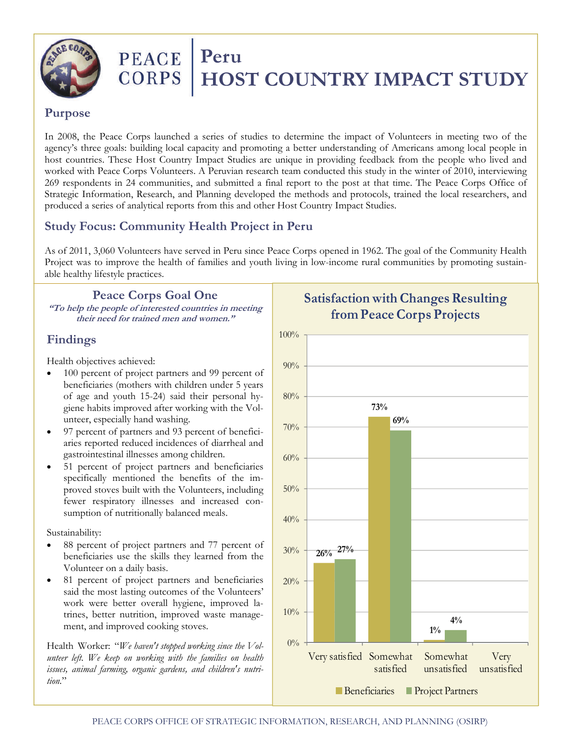

# PEACE Peru **CORPS | HOST COUNTRY IMPACT STUDY**

#### **Purpose**

In 2008, the Peace Corps launched a series of studies to determine the impact of Volunteers in meeting two of the agency's three goals: building local capacity and promoting a better understanding of Americans among local people in host countries. These Host Country Impact Studies are unique in providing feedback from the people who lived and worked with Peace Corps Volunteers. A Peruvian research team conducted this study in the winter of 2010, interviewing 269 respondents in 24 communities, and submitted a final report to the post at that time. The Peace Corps Office of Strategic Information, Research, and Planning developed the methods and protocols, trained the local researchers, and produced a series of analytical reports from this and other Host Country Impact Studies.

# **Study Focus: Community Health Project in Peru**

As of 2011, 3,060 Volunteers have served in Peru since Peace Corps opened in 1962. The goal of the Community Health Project was to improve the health of families and youth living in low-income rural communities by promoting sustainable healthy lifestyle practices.

#### **Peace Corps Goal One**

**"To help the people of interested countries in meeting their need for trained men and women."** 

## **Findings**

Health objectives achieved:

- 100 percent of project partners and 99 percent of beneficiaries (mothers with children under 5 years of age and youth 15-24) said their personal hygiene habits improved after working with the Volunteer, especially hand washing.
- 97 percent of partners and 93 percent of beneficiaries reported reduced incidences of diarrheal and gastrointestinal illnesses among children.
- 51 percent of project partners and beneficiaries specifically mentioned the benefits of the improved stoves built with the Volunteers, including fewer respiratory illnesses and increased consumption of nutritionally balanced meals.

Sustainability:

- 88 percent of project partners and 77 percent of beneficiaries use the skills they learned from the Volunteer on a daily basis.
- 81 percent of project partners and beneficiaries said the most lasting outcomes of the Volunteers' work were better overall hygiene, improved latrines, better nutrition, improved waste management, and improved cooking stoves.

Health Worker: "*We haven't stopped working since the Volunteer left. We keep on working with the families on health issues, animal farming, organic gardens, and children's nutrition.*"



# **Satisfaction with Changes Resulting from Peace Corps Projects**